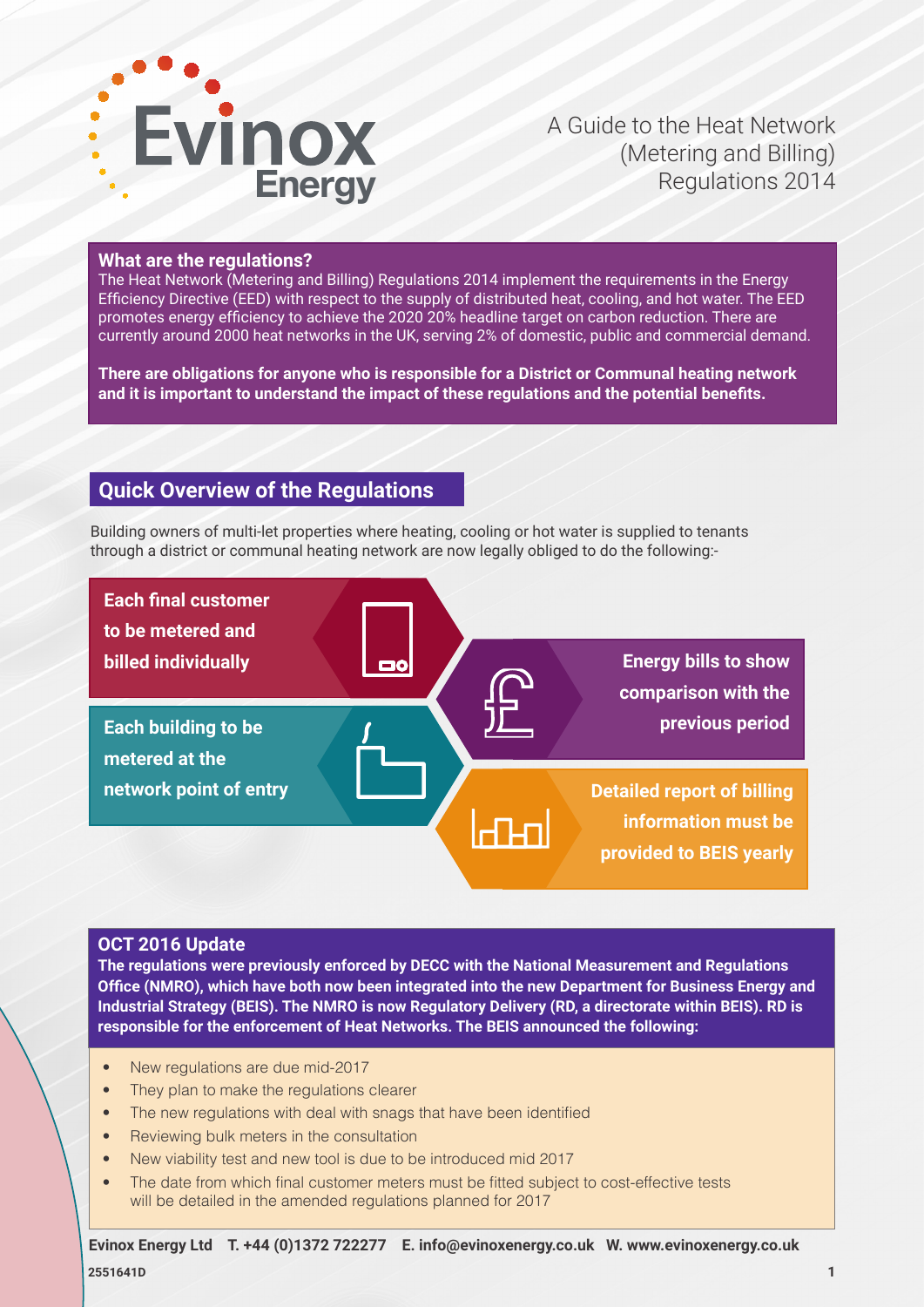

A Guide to the Heat Network (Metering and Billing) Regulations 2014

#### **What are the regulations?**

The Heat Network (Metering and Billing) Regulations 2014 implement the requirements in the Energy Efficiency Directive (EED) with respect to the supply of distributed heat, cooling, and hot water. The EED promotes energy efficiency to achieve the 2020 20% headline target on carbon reduction. There are currently around 2000 heat networks in the UK, serving 2% of domestic, public and commercial demand.

**There are obligations for anyone who is responsible for a District or Communal heating network and it is important to understand the impact of these regulations and the potential benefits.**

## **Quick Overview of the Regulations**

Building owners of multi-let properties where heating, cooling or hot water is supplied to tenants through a district or communal heating network are now legally obliged to do the following:-



#### **OCT 2016 Update**

**The regulations were previously enforced by DECC with the National Measurement and Regulations Office (NMRO), which have both now been integrated into the new Department for Business Energy and Industrial Strategy (BEIS). The NMRO is now Regulatory Delivery (RD, a directorate within BEIS). RD is responsible for the enforcement of Heat Networks. The BEIS announced the following:**

- New regulations are due mid-2017
- They plan to make the regulations clearer
- The new regulations with deal with snags that have been identified
- Reviewing bulk meters in the consultation
- New viability test and new tool is due to be introduced mid 2017
- The date from which final customer meters must be fitted subject to cost-effective tests will be detailed in the amended regulations planned for 2017

**2551641D Evinox Energy Ltd T. +44 (0)1372 722277 E. info@evinoxenergy.co.uk W. www.evinoxenergy.co.uk**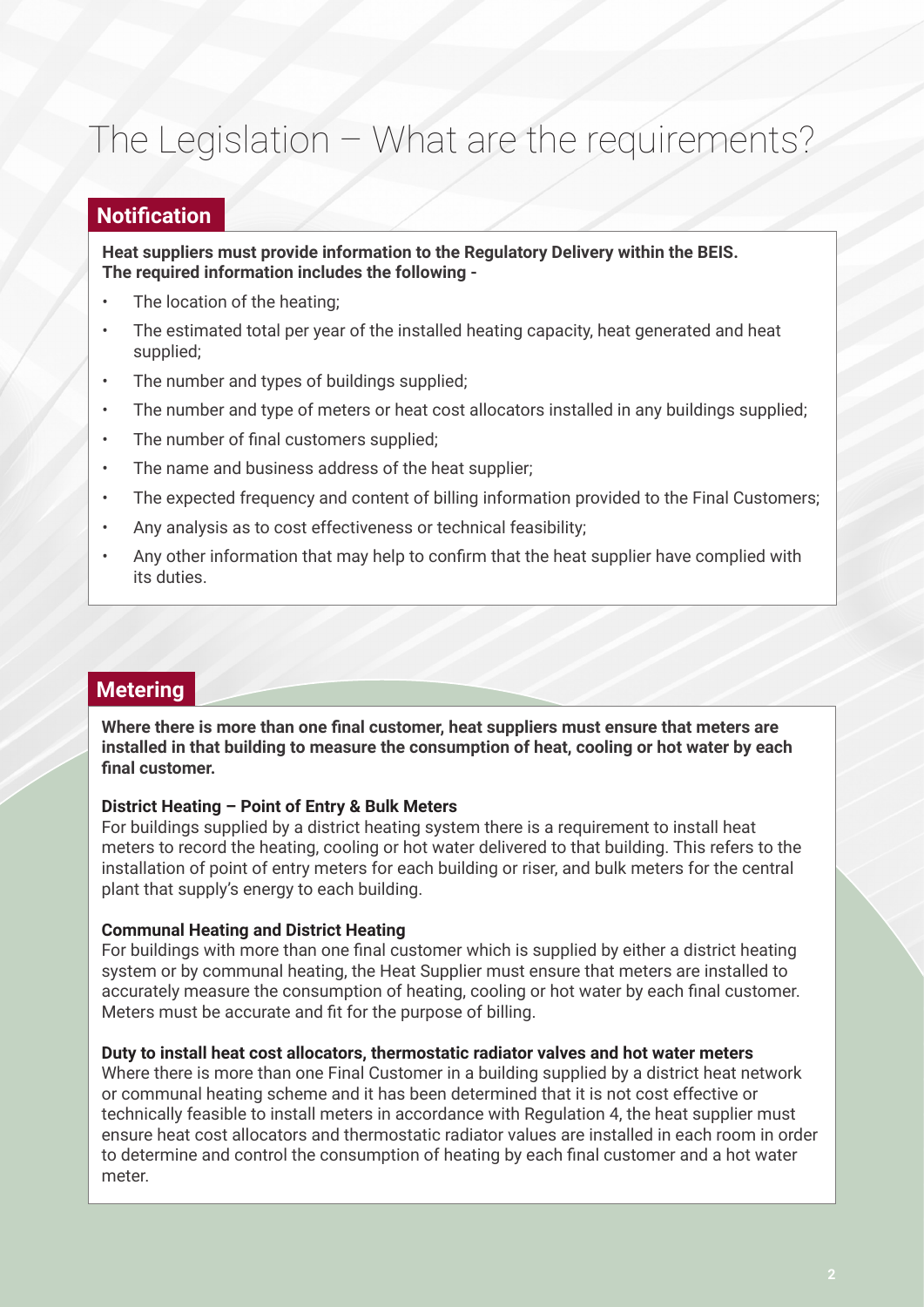# The Legislation – What are the requirements?

## **Notification**

**Heat suppliers must provide information to the Regulatory Delivery within the BEIS. The required information includes the following -** 

- The location of the heating:
- The estimated total per year of the installed heating capacity, heat generated and heat supplied;
- The number and types of buildings supplied;
- The number and type of meters or heat cost allocators installed in any buildings supplied;
- The number of final customers supplied;
- The name and business address of the heat supplier:
- The expected frequency and content of billing information provided to the Final Customers;
- Any analysis as to cost effectiveness or technical feasibility;
- Any other information that may help to confirm that the heat supplier have complied with its duties.

# **Metering**

**Where there is more than one final customer, heat suppliers must ensure that meters are installed in that building to measure the consumption of heat, cooling or hot water by each final customer.**

#### **District Heating – Point of Entry & Bulk Meters**

For buildings supplied by a district heating system there is a requirement to install heat meters to record the heating, cooling or hot water delivered to that building. This refers to the installation of point of entry meters for each building or riser, and bulk meters for the central plant that supply's energy to each building.

#### **Communal Heating and District Heating**

For buildings with more than one final customer which is supplied by either a district heating system or by communal heating, the Heat Supplier must ensure that meters are installed to accurately measure the consumption of heating, cooling or hot water by each final customer. Meters must be accurate and fit for the purpose of billing.

#### **Duty to install heat cost allocators, thermostatic radiator valves and hot water meters**

Where there is more than one Final Customer in a building supplied by a district heat network or communal heating scheme and it has been determined that it is not cost effective or technically feasible to install meters in accordance with Regulation 4, the heat supplier must ensure heat cost allocators and thermostatic radiator values are installed in each room in order to determine and control the consumption of heating by each final customer and a hot water meter.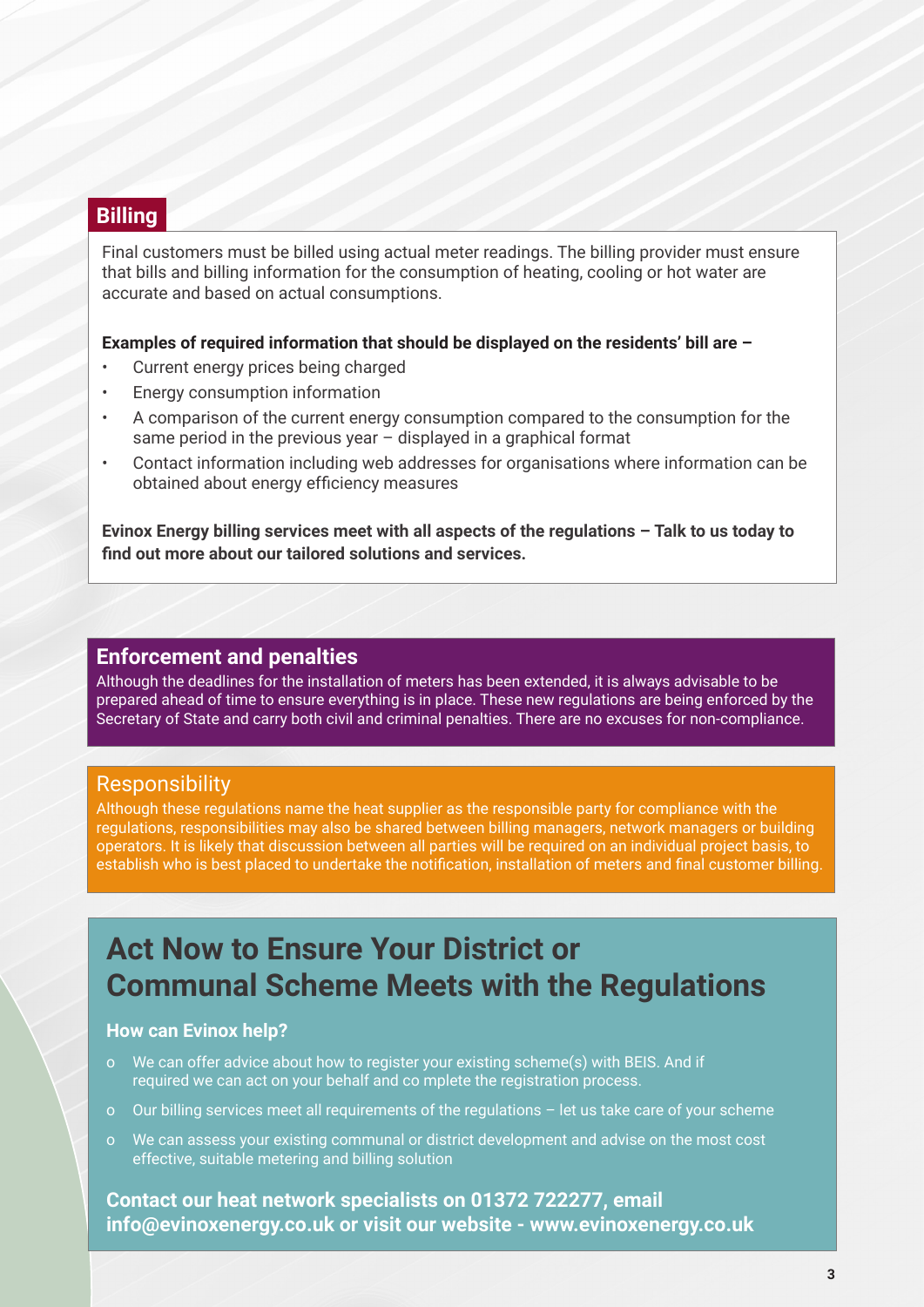# **Billing**

Final customers must be billed using actual meter readings. The billing provider must ensure that bills and billing information for the consumption of heating, cooling or hot water are accurate and based on actual consumptions.

#### **Examples of required information that should be displayed on the residents' bill are –**

- Current energy prices being charged
- Energy consumption information
- A comparison of the current energy consumption compared to the consumption for the same period in the previous year – displayed in a graphical format
- Contact information including web addresses for organisations where information can be obtained about energy efficiency measures

**Evinox Energy billing services meet with all aspects of the regulations – Talk to us today to find out more about our tailored solutions and services.**

#### **Enforcement and penalties**

Although the deadlines for the installation of meters has been extended, it is always advisable to be prepared ahead of time to ensure everything is in place. These new regulations are being enforced by the Secretary of State and carry both civil and criminal penalties. There are no excuses for non-compliance.

### **Responsibility**

Although these regulations name the heat supplier as the responsible party for compliance with the regulations, responsibilities may also be shared between billing managers, network managers or building operators. It is likely that discussion between all parties will be required on an individual project basis, to establish who is best placed to undertake the notification, installation of meters and final customer billing.

# **Act Now to Ensure Your District or Communal Scheme Meets with the Regulations**

#### **How can Evinox help?**

- o We can offer advice about how to register your existing scheme(s) with BEIS. And if required we can act on your behalf and co mplete the registration process.
- o Our billing services meet all requirements of the regulations let us take care of your scheme
- o We can assess your existing communal or district development and advise on the most cost effective, suitable metering and billing solution

**Contact our heat network specialists on 01372 722277, email info@evinoxenergy.co.uk or visit our website - www.evinoxenergy.co.uk**